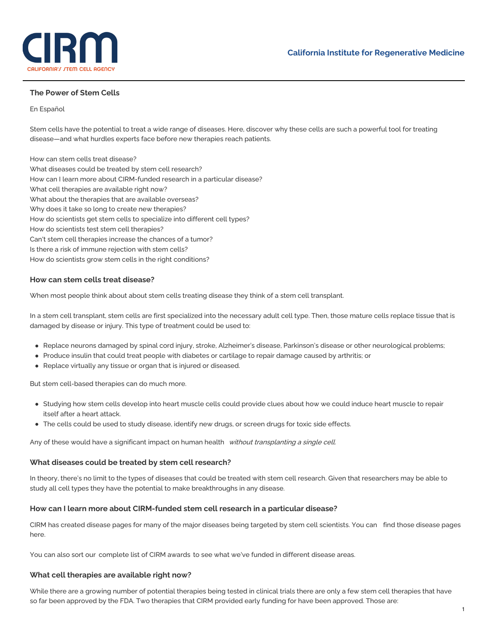

# **The Power of Stem Cells**

#### En [Español](https://www.cirm.ca.gov/our-progress/las-c%25C3%25A9lulas-madre-como-terapias)

Stem cells have the potential to treat a wide range of diseases. Here, discover why these cells are such a powerful tool for treating disease—and what hurdles experts face before new therapies reach patients.

How can stem cells treat [disease?](https://www.cirm.ca.gov/patients/power-stem-cells#1) What diseases could be treated by stem cell [research?](https://www.cirm.ca.gov/patients/power-stem-cells#2) How can I learn more about [CIRM-funded](https://www.cirm.ca.gov/patients/power-stem-cells#3) research in a particular disease? What cell [therapies](https://www.cirm.ca.gov/patients/power-stem-cells#4) are available right now? What about the therapies that are available [overseas?](https://www.cirm.ca.gov/patients/power-stem-cells#Oversears) Why does it take so long to create new [therapies?](https://www.cirm.ca.gov/patients/power-stem-cells#6) How do scientists get stem cells to [specialize](https://www.cirm.ca.gov/patients/power-stem-cells#7) into different cell types? How do scientists test stem cell [therapies?](https://www.cirm.ca.gov/patients/power-stem-cells#8) Can't stem cell [therapies](https://www.cirm.ca.gov/patients/power-stem-cells#9) increase the chances of a tumor? Is there a risk of immune [rejection](https://www.cirm.ca.gov/patients/power-stem-cells#10) with stem cells? How do scientists grow stem cells in the right [conditions?](https://www.cirm.ca.gov/patients/power-stem-cells#11)

### **How can stem cells treat disease?**

When most people think about about stem cells treating disease they think of a stem cell transplant.

In a stem cell transplant, stem cells are first specialized into the necessary adult cell type. Then, those mature cells replace tissue that is damaged by disease or injury. This type of treatment could be used to:

- Replace neurons damaged by spinal cord injury, stroke, Alzheimer's disease, Parkinson's disease or other neurological problems;
- Produce insulin that could treat people with diabetes or cartilage to repair damage caused by arthritis; or
- Replace virtually any tissue or organ that is injured or diseased.

But stem cell-based therapies can do much more.

- Studying how stem cells develop into heart muscle cells could provide clues about how we could induce heart muscle to repair itself after a heart attack.
- The cells could be used to study disease, identify new drugs, or screen drugs for toxic side effects.

Any of these would have a significant impact on human health without transplanting a single cell.

### **What diseases could be treated by stem cell research?**

In theory, there's no limit to the types of diseases that could be treated with stem cell research. Given that researchers may be able to study all cell types they have the potential to make breakthroughs in any disease.

### **How can I learn more about CIRM-funded stem cell research in a particular disease?**

CIRM has created disease pages for many of the major diseases being targeted by stem cell [scientists.](https://www.cirm.ca.gov/our-progress/disease-information) You can find those disease pages here.

You can also sort our [complete](https://www.cirm.ca.gov/grants) list of CIRM awards to see what we've funded in different disease areas.

### **What cell therapies are available right now?**

While there are a growing number of potential therapies being tested in clinical trials there are only a few stem cell therapies that have so far been approved by the FDA. Two therapies that CIRM provided early funding for have been approved. Those are: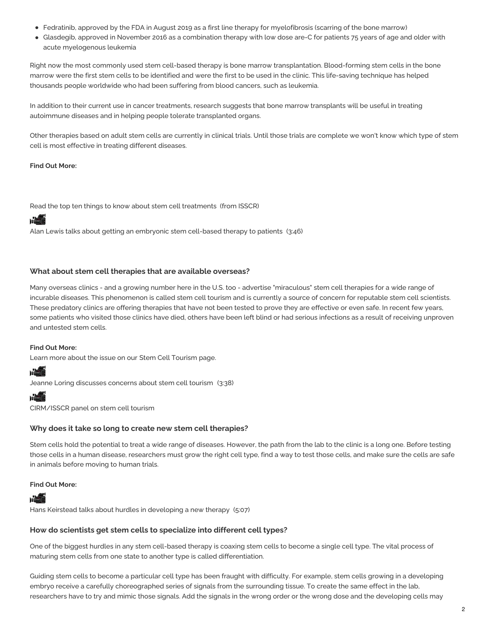- Fedratinib, approved by the FDA in August 2019 as a first line therapy for myelofibrosis (scarring of the bone marrow)
- Glasdegib, approved in November 2016 as a combination therapy with low dose are-C for patients 75 years of age and older with acute myelogenous leukemia

Right now the most commonly used stem cell-based therapy is bone marrow transplantation. Blood-forming stem cells in the bone marrow were the first stem cells to be identified and were the first to be used in the clinic. This life-saving technique has helped thousands people worldwide who had been suffering from blood cancers, such as leukemia.

In addition to their current use in cancer treatments, research suggests that bone marrow transplants will be useful in treating autoimmune diseases and in helping people tolerate transplanted organs.

Other therapies based on adult stem cells are currently in clinical trials. Until those trials are complete we won't know which type of stem cell is most effective in treating different diseases.

## **Find Out More:**

Read the top ten things to know about stem cell [treatments](http://www.closerlookatstemcells.org/Top_10_Stem_Cell_Treatment_Facts.html) (from ISSCR)

# **WEIT**

Alan Lewis talks about getting an embryonic stem [cell-based](https://www.cirm.ca.gov/our-progress/video/alan-lewis-talks-about-getting-embryonic-stem-cell-based-therapy-patients) therapy to patients (3:46)

# **What about stem cell therapies that are available overseas?**

Many overseas clinics - and a growing number here in the U.S. too - advertise "miraculous" stem cell therapies for a wide range of incurable diseases. This phenomenon is called stem cell tourism and is currently a source of concern for reputable stem cell scientists. These predatory clinics are offering therapies that have not been tested to prove they are effective or even safe. In recent few years, some patients who visited those clinics have died, others have been left blind or had serious infections as a result of receiving unproven and untested stem cells.

# **Find Out More:**

Learn more about the issue on our Stem Cell [Tourism](https://www.cirm.ca.gov/our-progress/concerns-about-stem-cell-tourism) page.

# **POST**

Jeanne Loring [discusses](https://www.youtube.com/watch?v=SgHBi1y1KG8) concerns about stem cell tourism (3:38)

# **MAGE**

[CIRM/ISSCR](https://www.cirm.ca.gov/our-progress/video/public-forum-dose-reality-alternative-stem-cell-treatments) panel on stem cell tourism

# **Why does it take so long to create new stem cell therapies?**

Stem cells hold the potential to treat a wide range of diseases. However, the path from the lab to the clinic is a long one. Before testing those cells in a human disease, researchers must grow the right cell type, find a way to test those cells, and make sure the cells are safe in animals before moving to human trials.

### **Find Out More:**

# **MAGE**

Hans Keirstead talks about hurdles in [developing](https://www.cirm.ca.gov/our-progress/video/hans-keirstead-talks-about-hurdles-developing-new-therapy) a new therapy (5:07)

# **How do scientists get stem cells to specialize into different cell types?**

One of the biggest hurdles in any stem cell-based therapy is coaxing stem cells to become a single cell type. The vital process of maturing stem cells from one state to another type is called differentiation.

Guiding stem cells to become a particular cell type has been fraught with difficulty. For example, stem cells growing in a developing embryo receive a carefully choreographed series of signals from the surrounding tissue. To create the same effect in the lab, researchers have to try and mimic those signals. Add the signals in the wrong order or the wrong dose and the developing cells may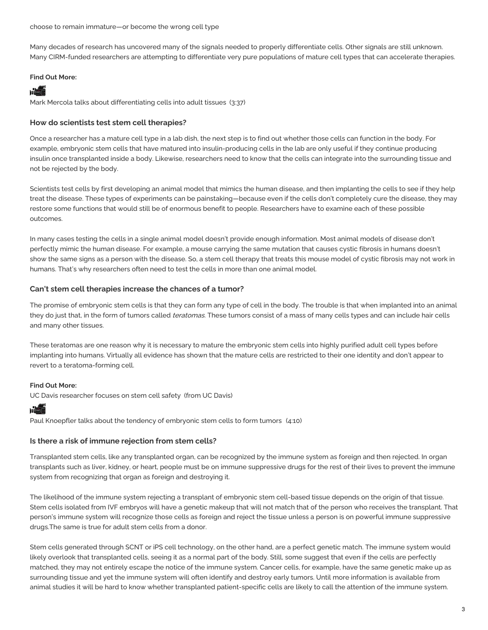Many decades of research has uncovered many of the signals needed to properly differentiate cells. Other signals are still unknown. Many CIRM-funded researchers are attempting to differentiate very pure populations of mature cell types that can accelerate therapies.

## **Find Out More:**

# **MARK**

Mark Mercola talks about [differentiating](https://www.cirm.ca.gov/our-progress/video/mark-mercola-talks-about-differentiating-cells-adult-tissues) cells into adult tissues (3:37)

## **How do scientists test stem cell therapies?**

Once a researcher has a mature cell type in a lab dish, the next step is to find out whether those cells can function in the body. For example, embryonic stem cells that have matured into insulin-producing cells in the lab are only useful if they continue producing insulin once transplanted inside a body. Likewise, researchers need to know that the cells can integrate into the surrounding tissue and not be rejected by the body.

Scientists test cells by first developing an animal model that mimics the human disease, and then implanting the cells to see if they help treat the disease. These types of experiments can be painstaking—because even if the cells don't completely cure the disease, they may restore some functions that would still be of enormous benefit to people. Researchers have to examine each of these possible outcomes.

In many cases testing the cells in a single animal model doesn't provide enough information. Most animal models of disease don't perfectly mimic the human disease. For example, a mouse carrying the same mutation that causes cystic fibrosis in humans doesn't show the same signs as a person with the disease. So, a stem cell therapy that treats this mouse model of cystic fibrosis may not work in humans. That's why researchers often need to test the cells in more than one animal model.

## **Can't stem cell therapies increase the chances of a tumor?**

The promise of embryonic stem cells is that they can form any type of cell in the body. The trouble is that when implanted into an animal they do just that, in the form of tumors called *teratomas*. These tumors consist of a mass of many cells types and can include hair cells and many other tissues.

These teratomas are one reason why it is necessary to mature the embryonic stem cells into highly purified adult cell types before implanting into humans. Virtually all evidence has shown that the mature cells are restricted to their one identity and don't appear to revert to a teratoma-forming cell.

### **Find Out More:**

UC Davis [researcher](http://www.ucdmc.ucdavis.edu/welcome/features/20081008_stemcell_Knoepfler/index.html) focuses on stem cell safety (from UC Davis)

# nd

Paul Knoepfler talks about the tendency of [embryonic](https://www.cirm.ca.gov/our-progress/video/paul-knoepfler-talks-about-tendency-embryonic-stem-cells-form-tumors) stem cells to form tumors (4:10)

### **Is there a risk of immune rejection from stem cells?**

Transplanted stem cells, like any transplanted organ, can be recognized by the immune system as foreign and then rejected. In organ transplants such as liver, kidney, or heart, people must be on immune suppressive drugs for the rest of their lives to prevent the immune system from recognizing that organ as foreign and destroying it.

The likelihood of the immune system rejecting a transplant of embryonic stem cell-based tissue depends on the origin of that tissue. Stem cells isolated from IVF embryos will have a genetic makeup that will not match that of the person who receives the transplant. That person's immune system will recognize those cells as foreign and reject the tissue unless a person is on powerful immune suppressive drugs.The same is true for adult stem cells from a donor.

Stem cells generated through SCNT or iPS cell technology, on the other hand, are a perfect genetic match. The immune system would likely overlook that transplanted cells, seeing it as a normal part of the body. Still, some suggest that even if the cells are perfectly matched, they may not entirely escape the notice of the immune system. Cancer cells, for example, have the same genetic make up as surrounding tissue and yet the immune system will often identify and destroy early tumors. Until more information is available from animal studies it will be hard to know whether transplanted patient-specific cells are likely to call the attention of the immune system.